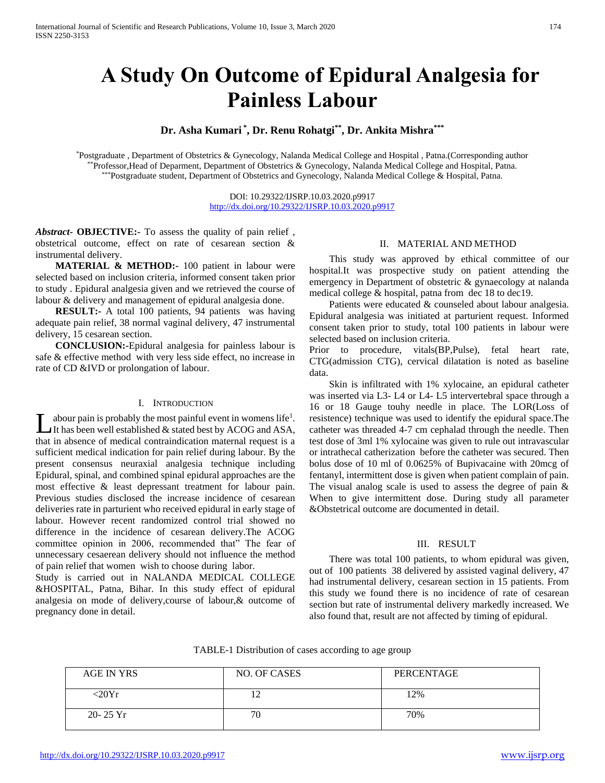# **A Study On Outcome of Epidural Analgesia for Painless Labour**

# **Dr. Asha Kumari \* , Dr. Renu Rohatgi\*\* , Dr. Ankita Mishra\*\*\***

\*Postgraduate , Department of Obstetrics & Gynecology, Nalanda Medical College and Hospital , Patna.(Corresponding author \*\*Professor,Head of Deparment, Department of Obstetrics & Gynecology, Nalanda Medical College and Hospital, Patna. \*\*\*Postgraduate student, Department of Obstetrics and Gynecology, Nalanda Medical College & Hospital, Patna.

> DOI: 10.29322/IJSRP.10.03.2020.p9917 <http://dx.doi.org/10.29322/IJSRP.10.03.2020.p9917>

*Abstract***- OBJECTIVE:-** To assess the quality of pain relief , obstetrical outcome, effect on rate of cesarean section & instrumental delivery.

**MATERIAL & METHOD:** 100 patient in labour were selected based on inclusion criteria, informed consent taken prior to study . Epidural analgesia given and we retrieved the course of labour & delivery and management of epidural analgesia done.

 **RESULT:-** A total 100 patients, 94 patients was having adequate pain relief, 38 normal vaginal delivery, 47 instrumental delivery, 15 cesarean section.

 **CONCLUSION:-**Epidural analgesia for painless labour is safe & effective method with very less side effect, no increase in rate of CD &IVD or prolongation of labour.

#### I. INTRODUCTION

abour pain is probably the most painful event in womens life<sup>1</sup>. It has been well established  $&$  stated best by ACOG and ASA, that in absence of medical contraindication maternal request is a sufficient medical indication for pain relief during labour. By the present consensus neuraxial analgesia technique including Epidural, spinal, and combined spinal epidural approaches are the most effective & least depressant treatment for labour pain. Previous studies disclosed the increase incidence of cesarean deliveries rate in parturient who received epidural in early stage of labour. However recent randomized control trial showed no difference in the incidence of cesarean delivery.The ACOG committee opinion in 2006, recommended that" The fear of unnecessary cesaerean delivery should not influence the method of pain relief that women wish to choose during labor. L

Study is carried out in NALANDA MEDICAL COLLEGE &HOSPITAL, Patna, Bihar. In this study effect of epidural analgesia on mode of delivery,course of labour,& outcome of pregnancy done in detail.

## II. MATERIAL AND METHOD

 This study was approved by ethical committee of our hospital.It was prospective study on patient attending the emergency in Department of obstetric & gynaecology at nalanda medical college & hospital, patna from dec 18 to dec19.

 Patients were educated & counseled about labour analgesia. Epidural analgesia was initiated at parturient request. Informed consent taken prior to study, total 100 patients in labour were selected based on inclusion criteria.

Prior to procedure, vitals(BP,Pulse), fetal heart rate, CTG(admission CTG), cervical dilatation is noted as baseline data.

 Skin is infiltrated with 1% xylocaine, an epidural catheter was inserted via L3- L4 or L4- L5 intervertebral space through a 16 or 18 Gauge touhy needle in place. The LOR(Loss of resistence) technique was used to identify the epidural space.The catheter was threaded 4-7 cm cephalad through the needle. Then test dose of 3ml 1% xylocaine was given to rule out intravascular or intrathecal catherization before the catheter was secured. Then bolus dose of 10 ml of 0.0625% of Bupivacaine with 20mcg of fentanyl, intermittent dose is given when patient complain of pain. The visual analog scale is used to assess the degree of pain  $\&$ When to give intermittent dose. During study all parameter &Obstetrical outcome are documented in detail.

# III. RESULT

 There was total 100 patients, to whom epidural was given, out of 100 patients 38 delivered by assisted vaginal delivery, 47 had instrumental delivery, cesarean section in 15 patients. From this study we found there is no incidence of rate of cesarean section but rate of instrumental delivery markedly increased. We also found that, result are not affected by timing of epidural.

TABLE-1 Distribution of cases according to age group

| AGE IN YRS   | NO. OF CASES | PERCENTAGE |
|--------------|--------------|------------|
| $-20Yr$      | ר ו<br>∸     | 12%        |
| $20 - 25$ Yr | 70           | 70%        |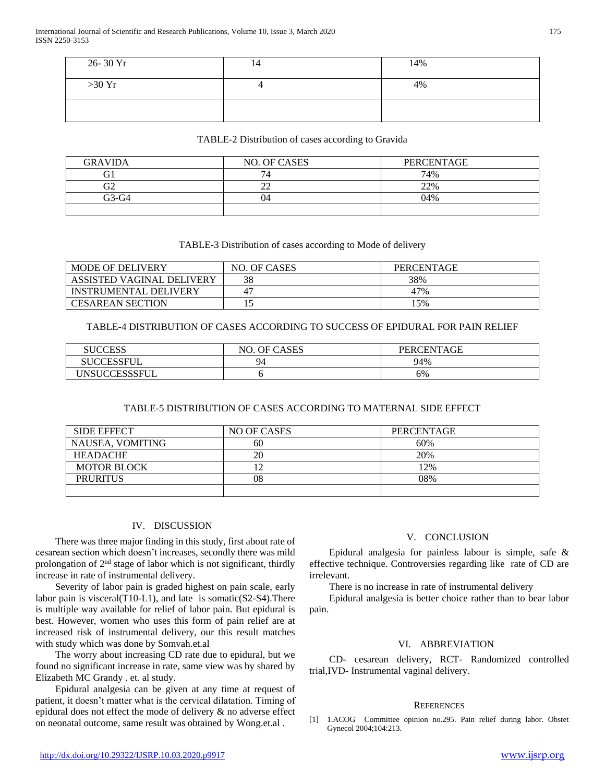| 26-30 Yr | 14 | 14% |
|----------|----|-----|
| >30 Yr   |    | 4%  |
|          |    |     |

### TABLE-2 Distribution of cases according to Gravida

| <b>GRAVIDA</b> | NO. OF CASES   | PERCENTAGE |
|----------------|----------------|------------|
| U1             | 7 <sub>1</sub> | 74%        |
| $\sim$<br>JΖ   | $\sim$         | 22%        |
| G3-G4          | 04             | 04%        |
|                |                |            |

# TABLE-3 Distribution of cases according to Mode of delivery

| <b>MODE OF DELIVERY</b>      | NO. OF CASES | PERCENTAGE |
|------------------------------|--------------|------------|
| ASSISTED VAGINAL DELIVERY    | 38           | 38%        |
| <b>INSTRUMENTAL DELIVERY</b> | 4            | 47%        |
| <b>CESAREAN SECTION</b>      |              | 5%         |

# TABLE-4 DISTRIBUTION OF CASES ACCORDING TO SUCCESS OF EPIDURAL FOR PAIN RELIEF

| <b>SUCCESS</b>    | <b>OF CASES</b><br>NO. | PERCENTAGE |
|-------------------|------------------------|------------|
| <b>SUCCESSFUI</b> | $Q_4$                  | 94%        |
| UNSUCCESSSFUL     |                        | 6%         |

# TABLE-5 DISTRIBUTION OF CASES ACCORDING TO MATERNAL SIDE EFFECT

| <b>SIDE EFFECT</b> | NO OF CASES | PERCENTAGE |
|--------------------|-------------|------------|
| NAUSEA, VOMITING   | 60          | 60%        |
| <b>HEADACHE</b>    | 20          | 20%        |
| <b>MOTOR BLOCK</b> |             | 12%        |
| <b>PRURITUS</b>    | 08          | 08%        |
|                    |             |            |

# IV. DISCUSSION

 There was three major finding in this study, first about rate of cesarean section which doesn't increases, secondly there was mild prolongation of 2nd stage of labor which is not significant, thirdly increase in rate of instrumental delivery.

 Severity of labor pain is graded highest on pain scale, early labor pain is visceral(T10-L1), and late is somatic(S2-S4).There is multiple way available for relief of labor pain. But epidural is best. However, women who uses this form of pain relief are at increased risk of instrumental delivery, our this result matches with study which was done by Somvah.et.al

 The worry about increasing CD rate due to epidural, but we found no significant increase in rate, same view was by shared by Elizabeth MC Grandy . et. al study.

 Epidural analgesia can be given at any time at request of patient, it doesn't matter what is the cervical dilatation. Timing of epidural does not effect the mode of delivery & no adverse effect on neonatal outcome, same result was obtained by Wong.et.al .

#### V. CONCLUSION

 Epidural analgesia for painless labour is simple, safe & effective technique. Controversies regarding like rate of CD are irrelevant.

There is no increase in rate of instrumental delivery

 Epidural analgesia is better choice rather than to bear labor pain.

# VI. ABBREVIATION

 CD- cesarean delivery, RCT- Randomized controlled trial,IVD- Instrumental vaginal delivery.

#### **REFERENCES**

[1] 1.ACOG Committee opinion no.295. Pain relief during labor. Obstet Gynecol 2004;104:213.